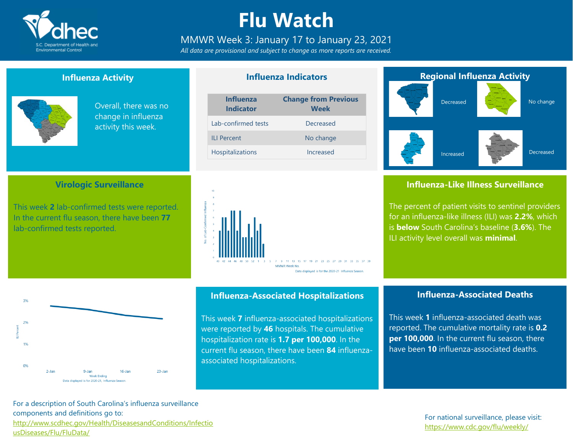

### **Flu Watch**

### MMWR Week 3: January 17 to January 23, 2021

*All data are provisional and subject to change as more reports are received.*

**Influenza Indicators**

### **Influenza Activity**

**Virologic Surveillance**

This week **2** lab-confirmed tests were reported. In the current flu season, there have been **77**

lab-confirmed tests reported.



Overall, there was no change in influenza activity this week.

| <b>Influenza</b><br><b>Indicator</b> | <b>Change from Previous</b><br><b>Week</b> |  |  |
|--------------------------------------|--------------------------------------------|--|--|
| Lab-confirmed tests                  | Decreased                                  |  |  |
| II I Percent                         | No change                                  |  |  |
| Hospitalizations                     | Increased                                  |  |  |
|                                      |                                            |  |  |



### **Regional Influenza Activity** Decreased Increased No change Decreased

### **Influenza-Like Illness Surveillance**

The percent of patient visits to sentinel providers for an influenza-like illness (ILI) was **2.2%**, which is **below** South Carolina's baseline (**3.6%**). The ILI activity level overall was **minimal**.



### **Influenza-Associated Hospitalizations**

This week **7** influenza-associated hospitalizations were reported by **46** hospitals. The cumulative hospitalization rate is **1.7 per 100,000**. In the current flu season, there have been **84** influenzaassociated hospitalizations.

#### **Influenza-Associated Deaths**

This week **1** influenza-associated death was reported. The cumulative mortality rate is **0.2 per 100,000**. In the current flu season, there have been **10** influenza-associated deaths.

For a description of South Carolina's influenza surveillance components and definitions go to: [http://www.scdhec.gov/Health/DiseasesandConditions/Infectio](http://www.scdhec.gov/Health/DiseasesandConditions/InfectiousDiseases/Flu/FluData/) [usDiseases/Flu/FluData/](http://www.scdhec.gov/Health/DiseasesandConditions/InfectiousDiseases/Flu/FluData/)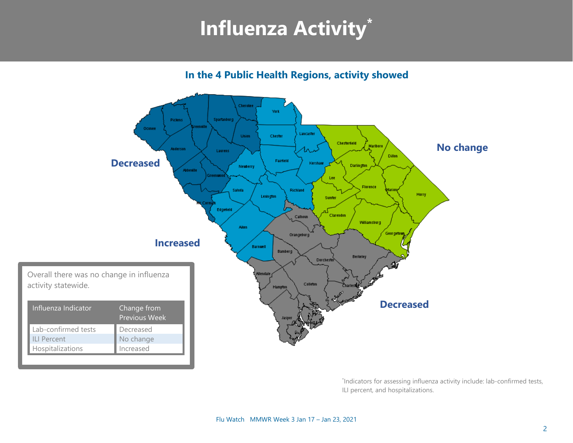## **Influenza Activity\***

**In the 4 Public Health Regions, activity showed**



\* Indicators for assessing influenza activity include: lab-confirmed tests, ILI percent, and hospitalizations.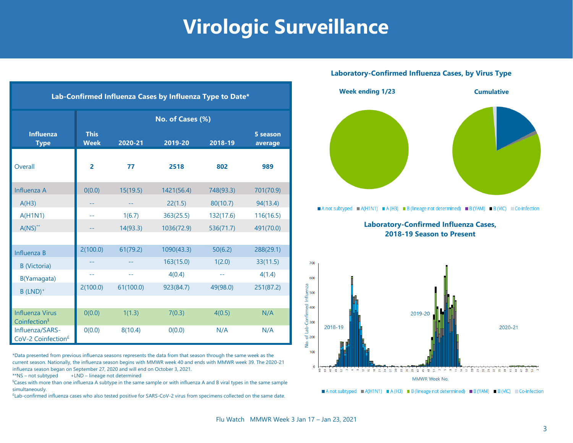### **Virologic Surveillance**

| Lab-Confirmed Influenza Cases by Influenza Type to Date* |                            |           |            |           |                     |  |  |  |  |
|----------------------------------------------------------|----------------------------|-----------|------------|-----------|---------------------|--|--|--|--|
|                                                          | No. of Cases (%)           |           |            |           |                     |  |  |  |  |
| <b>Influenza</b><br><b>Type</b>                          | <b>This</b><br><b>Week</b> | 2020-21   | 2019-20    | 2018-19   | 5 season<br>average |  |  |  |  |
| Overall                                                  | $\overline{2}$             | 77        | 2518       | 802       | 989                 |  |  |  |  |
| Influenza A                                              | 0(0.0)                     | 15(19.5)  | 1421(56.4) | 748(93.3) | 701(70.9)           |  |  |  |  |
| A(H3)                                                    |                            | --        | 22(1.5)    | 80(10.7)  | 94(13.4)            |  |  |  |  |
| <b>A(H1N1)</b>                                           | 44                         | 1(6.7)    | 363(25.5)  | 132(17.6) | 116(16.5)           |  |  |  |  |
| $A(NS)^{**}$                                             |                            | 14(93.3)  | 1036(72.9) | 536(71.7) | 491(70.0)           |  |  |  |  |
|                                                          |                            |           |            |           |                     |  |  |  |  |
| Influenza B                                              | 2(100.0)                   | 61(79.2)  | 1090(43.3) | 50(6.2)   | 288(29.1)           |  |  |  |  |
| <b>B</b> (Victoria)                                      |                            |           | 163(15.0)  | 1(2.0)    | 33(11.5)            |  |  |  |  |
| B(Yamagata)                                              | $-1$                       | $-1$      | 4(0.4)     | $-1$      | 4(1.4)              |  |  |  |  |
| $B$ (LND) <sup>+</sup>                                   | 2(100.0)                   | 61(100.0) | 923(84.7)  | 49(98.0)  | 251(87.2)           |  |  |  |  |
|                                                          |                            |           |            |           |                     |  |  |  |  |
| <b>Influenza Virus</b><br>Coinfection <sup>§</sup>       | 0(0.0)                     | 1(1.3)    | 7(0.3)     | 4(0.5)    | N/A                 |  |  |  |  |
| Influenza/SARS-<br>CoV-2 Coinfection <sup>£</sup>        | 0(0.0)                     | 8(10.4)   | 0(0.0)     | N/A       | N/A                 |  |  |  |  |

\*Data presented from previous influenza seasons represents the data from that season through the same week as the current season. Nationally, the influenza season begins with MMWR week 40 and ends with MMWR week 39. The 2020-21 influenza season began on September 27, 2020 and will end on October 3, 2021.

 $**$ NS – not subtyped  $+LND$  – lineage not determined

§Cases with more than one influenza A subtype in the same sample or with influenza A and B viral types in the same sample simultaneously.

£ Lab-confirmed influenza cases who also tested positive for SARS-CoV-2 virus from specimens collected on the same date.

#### **Laboratory-Confirmed Influenza Cases, by Virus Type**



A not subtyped  $A(H1N1) = A(H3) = B$  (lineage not determined) B (YAM) B (VIC) Co-infection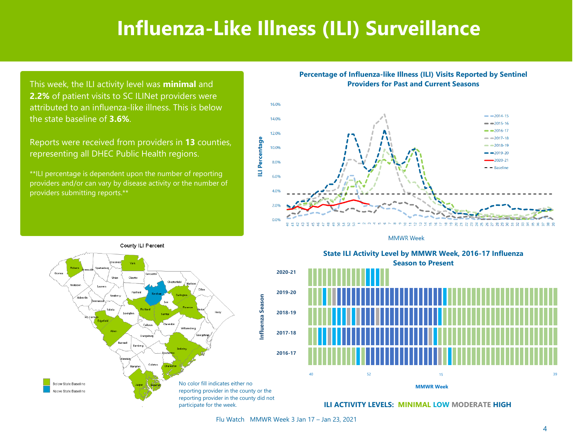### **Influenza-Like Illness (ILI) Surveillance**

This week, the ILI activity level was **minimal** and **2.2%** of patient visits to SC ILINet providers were attributed to an influenza-like illness. This is below the state baseline of **3.6%**.

Reports were received from providers in **13** counties, representing all DHEC Public Health regions.

\*\*ILI percentage is dependent upon the number of reporting providers and/or can vary by disease activity or the number of providers submitting reports.\*\*

**Percentage of Influenza-like Illness (ILI) Visits Reported by Sentinel Providers for Past and Current Seasons**



**MMWR Week** 







**ILI ACTIVITY LEVELS: MINIMAL LOW MODERATE HIGH**

Flu Watch MMWR Week 3 Jan 17 – Jan 23, 2021